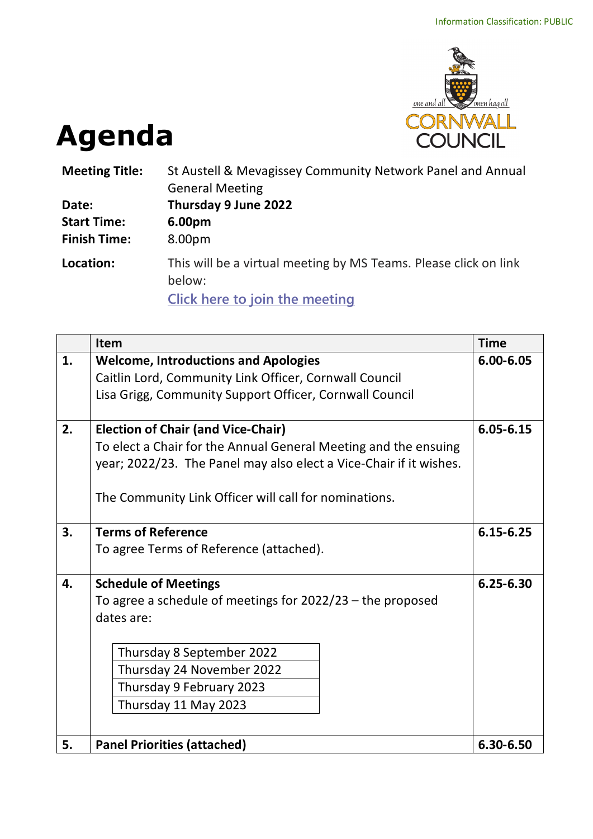

## **Agenda**

| <b>Meeting Title:</b> | St Austell & Mevagissey Community Network Panel and Annual<br><b>General Meeting</b>                                |  |  |
|-----------------------|---------------------------------------------------------------------------------------------------------------------|--|--|
| Date:                 | Thursday 9 June 2022                                                                                                |  |  |
| <b>Start Time:</b>    | 6.00pm                                                                                                              |  |  |
| <b>Finish Time:</b>   | 8.00pm                                                                                                              |  |  |
| Location:             | This will be a virtual meeting by MS Teams. Please click on link<br>below:<br><b>Click here to join the meeting</b> |  |  |

|    | Item                                                               | <b>Time</b> |  |  |  |
|----|--------------------------------------------------------------------|-------------|--|--|--|
| 1. | <b>Welcome, Introductions and Apologies</b>                        | 6.00-6.05   |  |  |  |
|    | Caitlin Lord, Community Link Officer, Cornwall Council             |             |  |  |  |
|    | Lisa Grigg, Community Support Officer, Cornwall Council            |             |  |  |  |
| 2. | <b>Election of Chair (and Vice-Chair)</b>                          | 6.05-6.15   |  |  |  |
|    | To elect a Chair for the Annual General Meeting and the ensuing    |             |  |  |  |
|    | year; 2022/23. The Panel may also elect a Vice-Chair if it wishes. |             |  |  |  |
|    | The Community Link Officer will call for nominations.              |             |  |  |  |
|    |                                                                    |             |  |  |  |
| 3. | <b>Terms of Reference</b>                                          |             |  |  |  |
|    | To agree Terms of Reference (attached).                            |             |  |  |  |
| 4. | <b>Schedule of Meetings</b>                                        |             |  |  |  |
|    | To agree a schedule of meetings for $2022/23$ – the proposed       |             |  |  |  |
|    | dates are:                                                         |             |  |  |  |
|    | Thursday 8 September 2022                                          |             |  |  |  |
|    | Thursday 24 November 2022                                          |             |  |  |  |
|    | Thursday 9 February 2023                                           |             |  |  |  |
|    | Thursday 11 May 2023                                               |             |  |  |  |
|    |                                                                    |             |  |  |  |
| 5. | <b>Panel Priorities (attached)</b>                                 |             |  |  |  |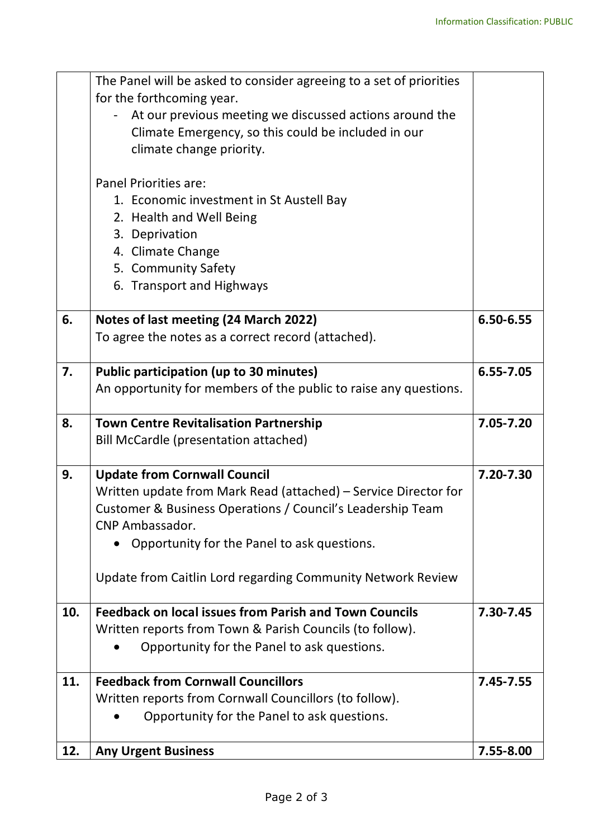|     | The Panel will be asked to consider agreeing to a set of priorities |           |
|-----|---------------------------------------------------------------------|-----------|
|     | for the forthcoming year.                                           |           |
|     | At our previous meeting we discussed actions around the             |           |
|     | Climate Emergency, so this could be included in our                 |           |
|     | climate change priority.                                            |           |
|     |                                                                     |           |
|     | <b>Panel Priorities are:</b>                                        |           |
|     | 1. Economic investment in St Austell Bay                            |           |
|     | 2. Health and Well Being                                            |           |
|     | 3. Deprivation                                                      |           |
|     | 4. Climate Change                                                   |           |
|     | 5. Community Safety                                                 |           |
|     | 6. Transport and Highways                                           |           |
|     |                                                                     |           |
| 6.  | Notes of last meeting (24 March 2022)                               | 6.50-6.55 |
|     | To agree the notes as a correct record (attached).                  |           |
|     |                                                                     |           |
| 7.  | <b>Public participation (up to 30 minutes)</b>                      | 6.55-7.05 |
|     | An opportunity for members of the public to raise any questions.    |           |
|     |                                                                     |           |
| 8.  | <b>Town Centre Revitalisation Partnership</b>                       | 7.05-7.20 |
|     | <b>Bill McCardle (presentation attached)</b>                        |           |
|     |                                                                     |           |
| 9.  | <b>Update from Cornwall Council</b>                                 | 7.20-7.30 |
|     | Written update from Mark Read (attached) – Service Director for     |           |
|     | Customer & Business Operations / Council's Leadership Team          |           |
|     | CNP Ambassador.                                                     |           |
|     | Opportunity for the Panel to ask questions.                         |           |
|     | Update from Caitlin Lord regarding Community Network Review         |           |
|     |                                                                     |           |
| 10. | <b>Feedback on local issues from Parish and Town Councils</b>       | 7.30-7.45 |
|     | Written reports from Town & Parish Councils (to follow).            |           |
|     | Opportunity for the Panel to ask questions.                         |           |
| 11. | <b>Feedback from Cornwall Councillors</b>                           | 7.45-7.55 |
|     | Written reports from Cornwall Councillors (to follow).              |           |
|     | Opportunity for the Panel to ask questions.                         |           |
| 12. | <b>Any Urgent Business</b>                                          | 7.55-8.00 |
|     |                                                                     |           |